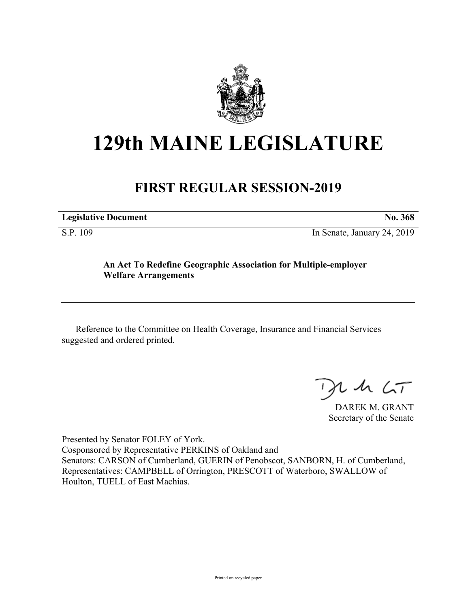

## **129th MAINE LEGISLATURE**

## **FIRST REGULAR SESSION-2019**

| <b>Legislative Document</b> | No. 368 |
|-----------------------------|---------|
|                             |         |

S.P. 109 In Senate, January 24, 2019

## **An Act To Redefine Geographic Association for Multiple-employer Welfare Arrangements**

Reference to the Committee on Health Coverage, Insurance and Financial Services suggested and ordered printed.

 $125$ 

DAREK M. GRANT Secretary of the Senate

Presented by Senator FOLEY of York. Cosponsored by Representative PERKINS of Oakland and Senators: CARSON of Cumberland, GUERIN of Penobscot, SANBORN, H. of Cumberland, Representatives: CAMPBELL of Orrington, PRESCOTT of Waterboro, SWALLOW of Houlton, TUELL of East Machias.